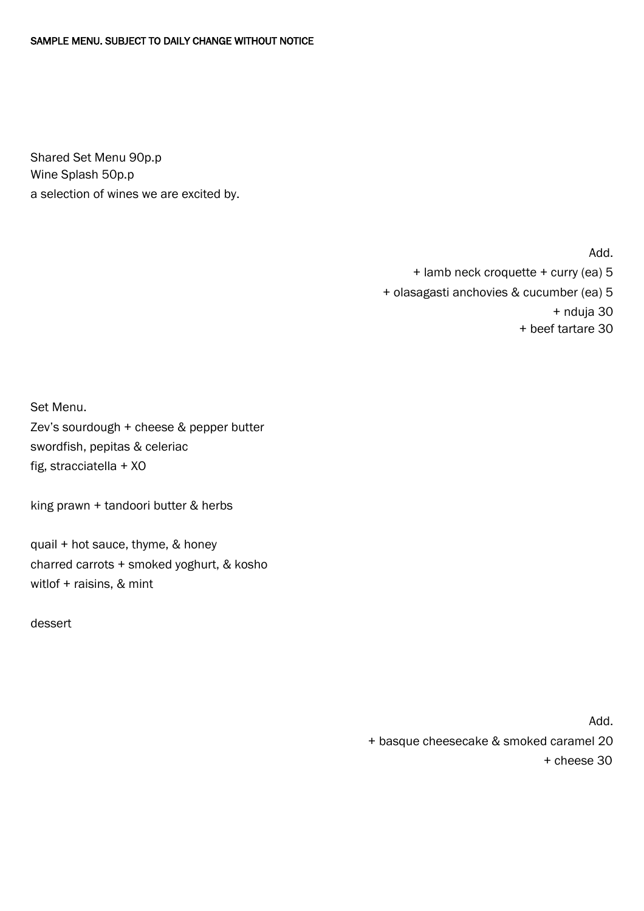Shared Set Menu 90p.p Wine Splash 50p.p a selection of wines we are excited by.

Add.

+ lamb neck croquette + curry (ea) 5

+ olasagasti anchovies & cucumber (ea) 5

+ nduja 30

+ beef tartare 30

Set Menu.

Zev's sourdough + cheese & pepper butter swordfish, pepitas & celeriac fig, stracciatella + XO

king prawn + tandoori butter & herbs

quail + hot sauce, thyme, & honey charred carrots + smoked yoghurt, & kosho witlof + raisins, & mint

dessert

Add.

+ basque cheesecake & smoked caramel 20

+ cheese 30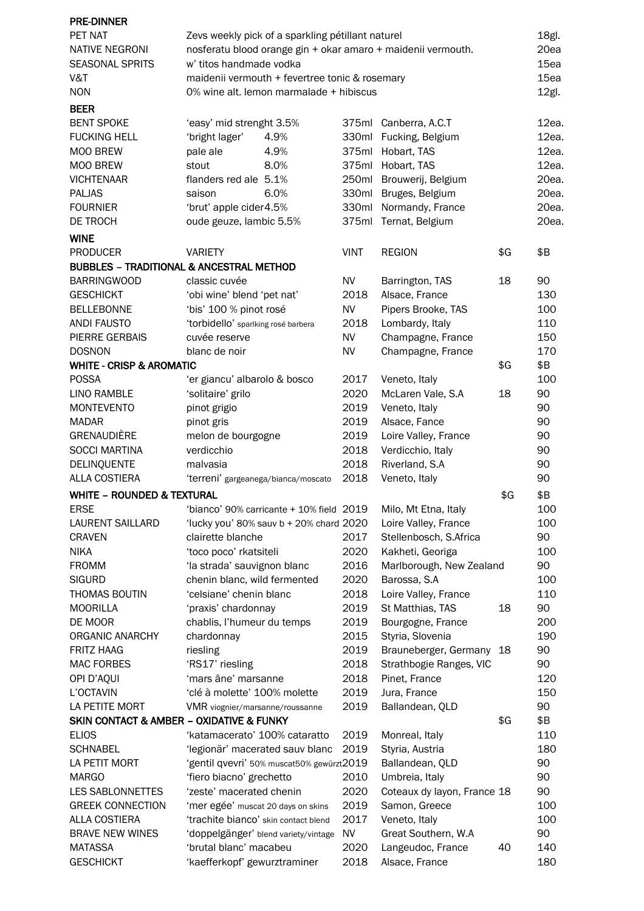| <b>PRE-DINNER</b>                     |                                                              |             |                             |     |          |  |
|---------------------------------------|--------------------------------------------------------------|-------------|-----------------------------|-----|----------|--|
| PET NAT                               | Zevs weekly pick of a sparkling pétillant naturel            |             |                             |     | 18gl.    |  |
| <b>NATIVE NEGRONI</b>                 | nosferatu blood orange gin + okar amaro + maidenii vermouth. |             |                             |     |          |  |
| <b>SEASONAL SPRITS</b>                | w' titos handmade vodka                                      |             |                             |     |          |  |
| V&T                                   | maidenii vermouth + fevertree tonic & rosemary               |             |                             |     |          |  |
| <b>NON</b>                            | 0% wine alt. lemon marmalade + hibiscus                      |             |                             |     | $12gl$ . |  |
| <b>BEER</b>                           |                                                              |             |                             |     |          |  |
| <b>BENT SPOKE</b>                     | 'easy' mid strenght 3.5%                                     |             | 375ml Canberra, A.C.T       |     | 12ea.    |  |
| <b>FUCKING HELL</b>                   | 'bright lager'<br>4.9%                                       | 330ml       | Fucking, Belgium            |     | 12ea.    |  |
| MOO BREW                              | pale ale<br>4.9%                                             | 375ml       | Hobart, TAS                 |     | 12ea.    |  |
| MOO BREW                              | 8.0%<br>stout                                                |             | 375ml Hobart, TAS           |     | 12ea.    |  |
| <b>VICHTENAAR</b>                     | flanders red ale 5.1%                                        |             | 250ml Brouwerij, Belgium    |     | 20ea.    |  |
| PALJAS                                | 6.0%<br>saison                                               | 330ml       | Bruges, Belgium             |     | 20ea.    |  |
| <b>FOURNIER</b>                       | 'brut' apple cider4.5%                                       | 330ml       | Normandy, France            |     | 20ea.    |  |
| DE TROCH                              | oude geuze, lambic 5.5%                                      | 375ml       | Ternat, Belgium             |     | 20ea.    |  |
| <b>WINE</b>                           |                                                              |             |                             |     |          |  |
| <b>PRODUCER</b>                       | <b>VARIETY</b>                                               | <b>VINT</b> | <b>REGION</b>               | \$G | \$Β      |  |
|                                       | <b>BUBBLES - TRADITIONAL &amp; ANCESTRAL METHOD</b>          |             |                             |     |          |  |
| <b>BARRINGWOOD</b>                    | classic cuvée                                                | <b>NV</b>   | Barrington, TAS             | 18  | 90       |  |
| <b>GESCHICKT</b>                      | 'obi wine' blend 'pet nat'                                   | 2018        | Alsace, France              |     | 130      |  |
| <b>BELLEBONNE</b>                     | 'bis' 100 % pinot rosé                                       | <b>NV</b>   | Pipers Brooke, TAS          |     | 100      |  |
| <b>ANDI FAUSTO</b>                    | 'torbidello' sparlking rosé barbera                          | 2018        | Lombardy, Italy             |     | 110      |  |
| PIERRE GERBAIS                        | cuvée reserve                                                | NV          | Champagne, France           |     | 150      |  |
| <b>DOSNON</b>                         | blanc de noir                                                | <b>NV</b>   | Champagne, France           |     | 170      |  |
| <b>WHITE - CRISP &amp; AROMATIC</b>   |                                                              |             |                             | \$G | \$B      |  |
| <b>POSSA</b>                          | 'er giancu' albarolo & bosco                                 | 2017        | Veneto, Italy               |     | 100      |  |
| LINO RAMBLE                           | 'solitaire' grilo                                            | 2020        | McLaren Vale, S.A           | 18  | 90       |  |
| <b>MONTEVENTO</b>                     | pinot grigio                                                 | 2019        | Veneto, Italy               |     | 90       |  |
| <b>MADAR</b>                          |                                                              | 2019        | Alsace, Fance               |     | 90       |  |
| GRENAUDIÈRE                           | pinot gris                                                   | 2019        |                             |     | 90       |  |
|                                       | melon de bourgogne                                           | 2018        | Loire Valley, France        |     |          |  |
| <b>SOCCI MARTINA</b>                  | verdicchio                                                   | 2018        | Verdicchio, Italy           |     | 90       |  |
| DELINQUENTE<br><b>ALLA COSTIERA</b>   | malvasia                                                     |             | Riverland, S.A              |     | 90<br>90 |  |
|                                       | 'terreni' gargeanega/bianca/moscato                          | 2018        | Veneto, Italy               |     |          |  |
| <b>WHITE - ROUNDED &amp; TEXTURAL</b> |                                                              |             |                             | \$G | \$Β      |  |
| <b>ERSE</b>                           | 'bianco' 90% carricante + 10% field 2019                     |             | Milo, Mt Etna, Italy        |     | 100      |  |
| LAURENT SAILLARD                      | 'lucky you' 80% sauv b + 20% chard 2020                      |             | Loire Valley, France        |     | 100      |  |
| <b>CRAVEN</b>                         | clairette blanche                                            | 2017        | Stellenbosch, S.Africa      |     | 90       |  |
| <b>NIKA</b>                           | 'toco poco' rkatsiteli                                       | 2020        | Kakheti, Georiga            |     | 100      |  |
| <b>FROMM</b>                          | 'la strada' sauvignon blanc                                  | 2016        | Marlborough, New Zealand    |     | 90       |  |
| <b>SIGURD</b>                         | chenin blanc, wild fermented                                 | 2020        | Barossa, S.A                |     | 100      |  |
| THOMAS BOUTIN                         | 'celsiane' chenin blanc                                      | 2018        | Loire Valley, France        |     | 110      |  |
| <b>MOORILLA</b>                       | 'praxis' chardonnay                                          | 2019        | St Matthias, TAS            | 18  | 90       |  |
| DE MOOR                               | chablis, l'humeur du temps                                   | 2019        | Bourgogne, France           |     | 200      |  |
| ORGANIC ANARCHY                       | chardonnay                                                   | 2015        | Styria, Slovenia            |     | 190      |  |
| <b>FRITZ HAAG</b>                     | riesling                                                     | 2019        | Brauneberger, Germany       | 18  | 90       |  |
| <b>MAC FORBES</b>                     | 'RS17' riesling                                              | 2018        | Strathbogie Ranges, VIC     |     | 90       |  |
| OPI D'AQUI                            | 'mars âne' marsanne                                          | 2018        | Pinet, France               |     | 120      |  |
| L'OCTAVIN                             | 'clé à molette' 100% molette                                 | 2019        | Jura, France                |     | 150      |  |
| LA PETITE MORT                        | VMR viognier/marsanne/roussanne                              | 2019        | Ballandean, QLD             |     | 90       |  |
|                                       | <b>SKIN CONTACT &amp; AMBER - OXIDATIVE &amp; FUNKY</b>      |             |                             | \$G | \$Β      |  |
| <b>ELIOS</b>                          | 'katamacerato' 100% cataratto                                | 2019        | Monreal, Italy              |     | 110      |  |
| <b>SCHNABEL</b>                       | 'legionär' macerated sauv blanc                              | 2019        | Styria, Austria             |     | 180      |  |
| LA PETIT MORT                         | 'gentil qvevri' 50% muscat50% gewürzt2019                    |             | Ballandean, QLD             |     | 90       |  |
| <b>MARGO</b>                          | 'fiero biacno' grechetto                                     | 2010        | Umbreia, Italy              |     | 90       |  |
| LES SABLONNETTES                      | 'zeste' macerated chenin                                     | 2020        | Coteaux dy layon, France 18 |     | 90       |  |
| <b>GREEK CONNECTION</b>               | 'mer egée' muscat 20 days on skins                           | 2019        | Samon, Greece               |     | 100      |  |
| <b>ALLA COSTIERA</b>                  | 'trachite bianco' skin contact blend                         | 2017        | Veneto, Italy               |     | 100      |  |
| <b>BRAVE NEW WINES</b>                | 'doppelgänger' blend variety/vintage                         | <b>NV</b>   | Great Southern, W.A         |     | 90       |  |
| <b>MATASSA</b>                        | 'brutal blanc' macabeu                                       | 2020        | Langeudoc, France           | 40  | 140      |  |
| <b>GESCHICKT</b>                      | 'kaefferkopf' gewurztraminer                                 | 2018        | Alsace, France              |     | 180      |  |
|                                       |                                                              |             |                             |     |          |  |